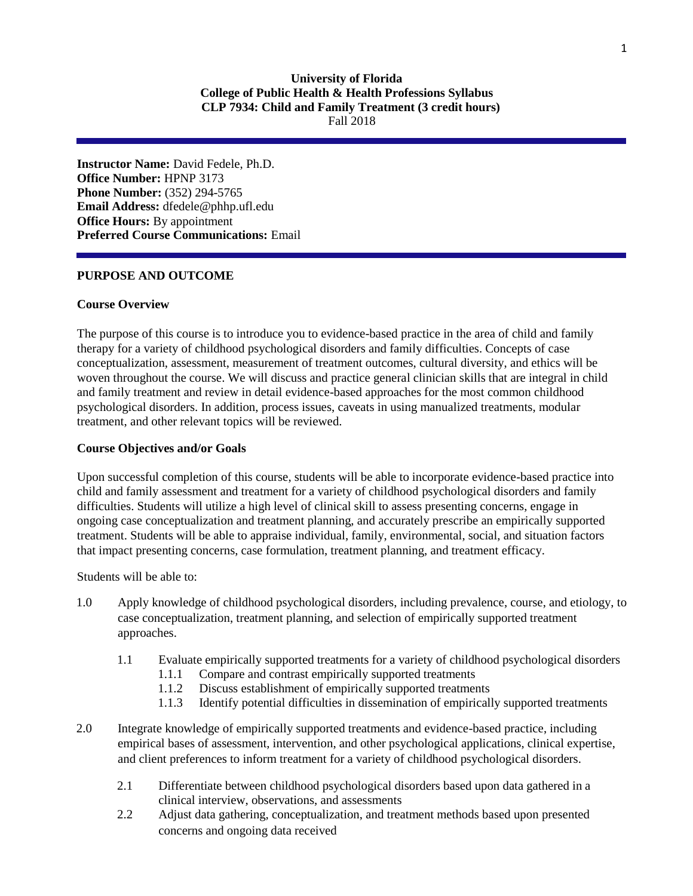# **University of Florida College of Public Health & Health Professions Syllabus CLP 7934: Child and Family Treatment (3 credit hours)** Fall 2018

**Instructor Name:** David Fedele, Ph.D. **Office Number:** HPNP 3173 **Phone Number:** (352) 294-5765 **Email Address:** dfedele@phhp.ufl.edu **Office Hours:** By appointment **Preferred Course Communications:** Email

### **PURPOSE AND OUTCOME**

#### **Course Overview**

The purpose of this course is to introduce you to evidence-based practice in the area of child and family therapy for a variety of childhood psychological disorders and family difficulties. Concepts of case conceptualization, assessment, measurement of treatment outcomes, cultural diversity, and ethics will be woven throughout the course. We will discuss and practice general clinician skills that are integral in child and family treatment and review in detail evidence-based approaches for the most common childhood psychological disorders. In addition, process issues, caveats in using manualized treatments, modular treatment, and other relevant topics will be reviewed.

### **Course Objectives and/or Goals**

Upon successful completion of this course, students will be able to incorporate evidence-based practice into child and family assessment and treatment for a variety of childhood psychological disorders and family difficulties. Students will utilize a high level of clinical skill to assess presenting concerns, engage in ongoing case conceptualization and treatment planning, and accurately prescribe an empirically supported treatment. Students will be able to appraise individual, family, environmental, social, and situation factors that impact presenting concerns, case formulation, treatment planning, and treatment efficacy.

Students will be able to:

- 1.0 Apply knowledge of childhood psychological disorders, including prevalence, course, and etiology, to case conceptualization, treatment planning, and selection of empirically supported treatment approaches.
	- 1.1 Evaluate empirically supported treatments for a variety of childhood psychological disorders
		- 1.1.1 Compare and contrast empirically supported treatments
		- 1.1.2 Discuss establishment of empirically supported treatments
		- 1.1.3 Identify potential difficulties in dissemination of empirically supported treatments
- 2.0 Integrate knowledge of empirically supported treatments and evidence-based practice, including empirical bases of assessment, intervention, and other psychological applications, clinical expertise, and client preferences to inform treatment for a variety of childhood psychological disorders.
	- 2.1 Differentiate between childhood psychological disorders based upon data gathered in a clinical interview, observations, and assessments
	- 2.2 Adjust data gathering, conceptualization, and treatment methods based upon presented concerns and ongoing data received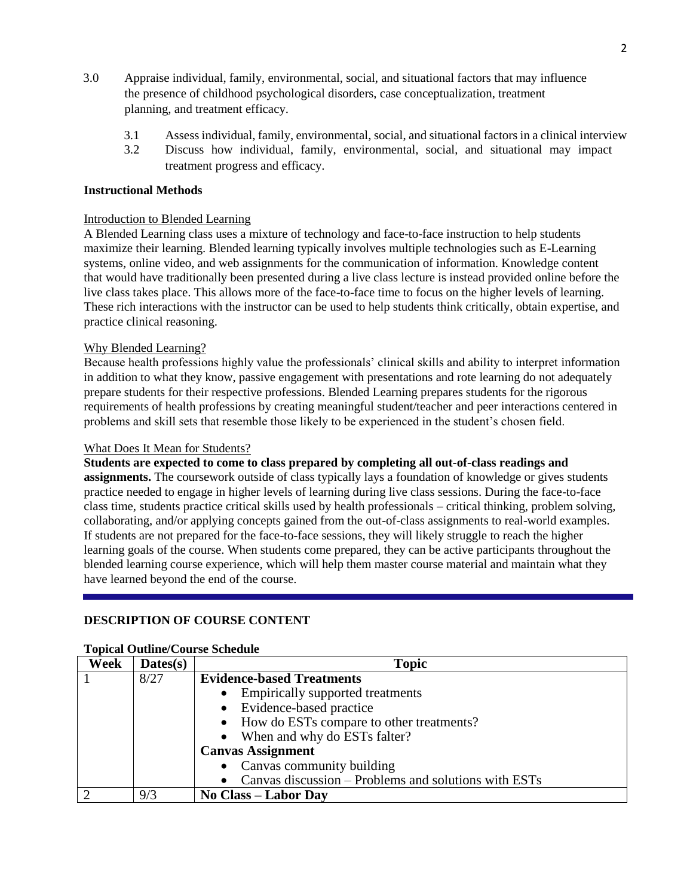- 3.0 Appraise individual, family, environmental, social, and situational factors that may influence the presence of childhood psychological disorders, case conceptualization, treatment planning, and treatment efficacy.
	- 3.1 Assess individual, family, environmental, social, and situational factors in a clinical interview
	- 3.2 Discuss how individual, family, environmental, social, and situational may impact treatment progress and efficacy.

### **Instructional Methods**

### Introduction to Blended Learning

A Blended Learning class uses a mixture of technology and face-to-face instruction to help students maximize their learning. Blended learning typically involves multiple technologies such as E-Learning systems, online video, and web assignments for the communication of information. Knowledge content that would have traditionally been presented during a live class lecture is instead provided online before the live class takes place. This allows more of the face-to-face time to focus on the higher levels of learning. These rich interactions with the instructor can be used to help students think critically, obtain expertise, and practice clinical reasoning.

### Why Blended Learning?

Because health professions highly value the professionals' clinical skills and ability to interpret information in addition to what they know, passive engagement with presentations and rote learning do not adequately prepare students for their respective professions. Blended Learning prepares students for the rigorous requirements of health professions by creating meaningful student/teacher and peer interactions centered in problems and skill sets that resemble those likely to be experienced in the student's chosen field.

### What Does It Mean for Students?

**Students are expected to come to class prepared by completing all out-of-class readings and** 

**assignments.** The coursework outside of class typically lays a foundation of knowledge or gives students practice needed to engage in higher levels of learning during live class sessions. During the face-to-face class time, students practice critical skills used by health professionals – critical thinking, problem solving, collaborating, and/or applying concepts gained from the out-of-class assignments to real-world examples. If students are not prepared for the face-to-face sessions, they will likely struggle to reach the higher learning goals of the course. When students come prepared, they can be active participants throughout the blended learning course experience, which will help them master course material and maintain what they have learned beyond the end of the course.

## **DESCRIPTION OF COURSE CONTENT**

#### **Topical Outline/Course Schedule**

| Week | Dates(s) | <b>Topic</b>                                           |  |  |  |  |  |  |  |  |  |  |
|------|----------|--------------------------------------------------------|--|--|--|--|--|--|--|--|--|--|
|      | 8/27     | <b>Evidence-based Treatments</b>                       |  |  |  |  |  |  |  |  |  |  |
|      |          | • Empirically supported treatments                     |  |  |  |  |  |  |  |  |  |  |
|      |          | • Evidence-based practice                              |  |  |  |  |  |  |  |  |  |  |
|      |          | • How do ESTs compare to other treatments?             |  |  |  |  |  |  |  |  |  |  |
|      |          | • When and why do ESTs falter?                         |  |  |  |  |  |  |  |  |  |  |
|      |          | <b>Canvas Assignment</b>                               |  |  |  |  |  |  |  |  |  |  |
|      |          | • Canvas community building                            |  |  |  |  |  |  |  |  |  |  |
|      |          | • Canvas discussion – Problems and solutions with ESTs |  |  |  |  |  |  |  |  |  |  |
|      | 9/3      | No Class – Labor Day                                   |  |  |  |  |  |  |  |  |  |  |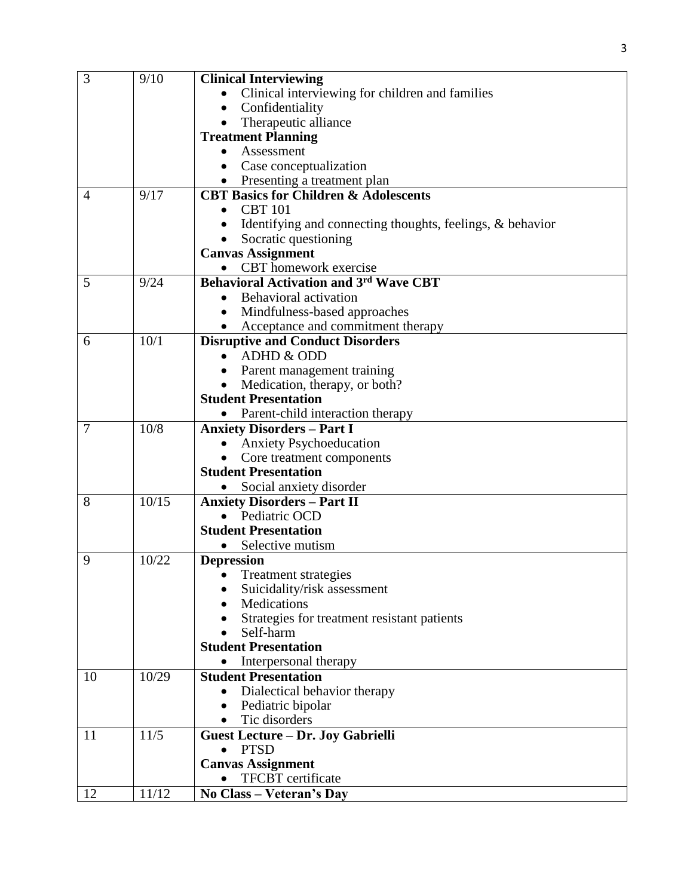| 3  | 9/10  | <b>Clinical Interviewing</b>                              |
|----|-------|-----------------------------------------------------------|
|    |       | Clinical interviewing for children and families           |
|    |       | Confidentiality<br>٠                                      |
|    |       | Therapeutic alliance<br>$\bullet$                         |
|    |       | <b>Treatment Planning</b>                                 |
|    |       | Assessment                                                |
|    |       | Case conceptualization<br>٠                               |
|    |       | Presenting a treatment plan                               |
| 4  | 9/17  | <b>CBT Basics for Children &amp; Adolescents</b>          |
|    |       | <b>CBT</b> 101                                            |
|    |       | Identifying and connecting thoughts, feelings, & behavior |
|    |       | Socratic questioning                                      |
|    |       | <b>Canvas Assignment</b>                                  |
|    |       | CBT homework exercise                                     |
| 5  | 9/24  | <b>Behavioral Activation and 3rd Wave CBT</b>             |
|    |       | Behavioral activation<br>$\bullet$                        |
|    |       | Mindfulness-based approaches<br>$\bullet$                 |
|    |       | Acceptance and commitment therapy                         |
| 6  | 10/1  | <b>Disruptive and Conduct Disorders</b>                   |
|    |       | <b>ADHD &amp; ODD</b>                                     |
|    |       | Parent management training                                |
|    |       | Medication, therapy, or both?                             |
|    |       | <b>Student Presentation</b>                               |
|    |       | Parent-child interaction therapy                          |
| 7  | 10/8  | <b>Anxiety Disorders - Part I</b>                         |
|    |       | Anxiety Psychoeducation                                   |
|    |       | Core treatment components                                 |
|    |       | <b>Student Presentation</b>                               |
|    |       | Social anxiety disorder<br>$\bullet$                      |
| 8  | 10/15 | <b>Anxiety Disorders - Part II</b>                        |
|    |       | Pediatric OCD                                             |
|    |       | <b>Student Presentation</b>                               |
|    |       | Selective mutism                                          |
| 9  | 10/22 | <b>Depression</b>                                         |
|    |       | Treatment strategies                                      |
|    |       | Suicidality/risk assessment                               |
|    |       | Medications                                               |
|    |       | Strategies for treatment resistant patients               |
|    |       | Self-harm                                                 |
|    |       | <b>Student Presentation</b>                               |
|    |       | Interpersonal therapy                                     |
| 10 | 10/29 | <b>Student Presentation</b>                               |
|    |       | Dialectical behavior therapy                              |
|    |       | Pediatric bipolar<br>$\bullet$                            |
|    |       | Tic disorders                                             |
| 11 | 11/5  | Guest Lecture - Dr. Joy Gabrielli                         |
|    |       | <b>PTSD</b>                                               |
|    |       | <b>Canvas Assignment</b>                                  |
|    |       | <b>TFCBT</b> certificate<br>$\bullet$                     |
| 12 | 11/12 | No Class - Veteran's Day                                  |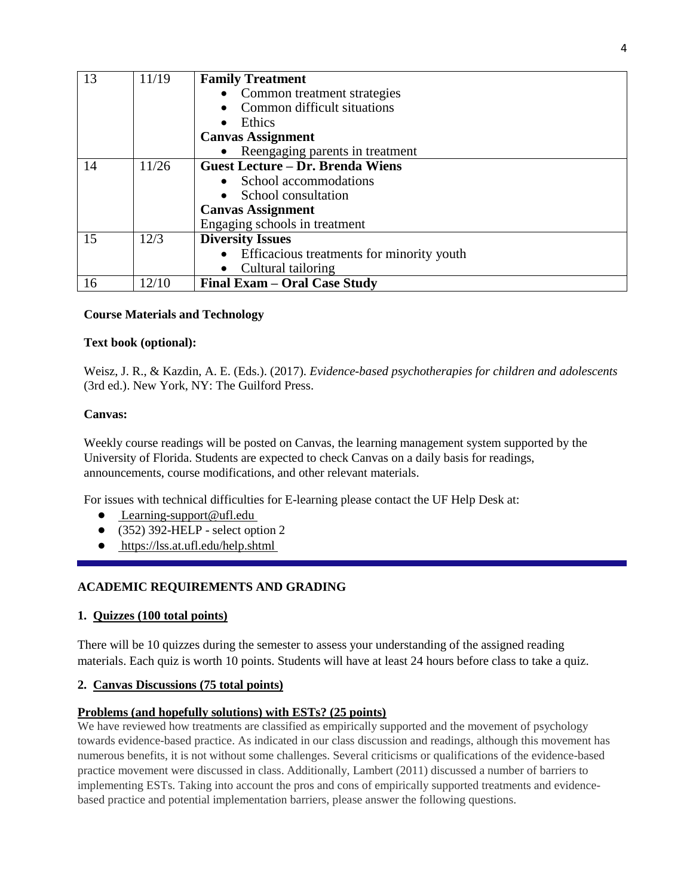| 13 | 11/19 | <b>Family Treatment</b>                   |  |  |  |  |  |  |  |  |
|----|-------|-------------------------------------------|--|--|--|--|--|--|--|--|
|    |       | • Common treatment strategies             |  |  |  |  |  |  |  |  |
|    |       | Common difficult situations               |  |  |  |  |  |  |  |  |
|    |       | Ethics                                    |  |  |  |  |  |  |  |  |
|    |       | <b>Canvas Assignment</b>                  |  |  |  |  |  |  |  |  |
|    |       | • Reengaging parents in treatment         |  |  |  |  |  |  |  |  |
| 14 | 11/26 | <b>Guest Lecture - Dr. Brenda Wiens</b>   |  |  |  |  |  |  |  |  |
|    |       | • School accommodations                   |  |  |  |  |  |  |  |  |
|    |       | School consultation                       |  |  |  |  |  |  |  |  |
|    |       | <b>Canvas Assignment</b>                  |  |  |  |  |  |  |  |  |
|    |       | Engaging schools in treatment             |  |  |  |  |  |  |  |  |
| 15 | 12/3  | <b>Diversity Issues</b>                   |  |  |  |  |  |  |  |  |
|    |       | Efficacious treatments for minority youth |  |  |  |  |  |  |  |  |
|    |       | Cultural tailoring                        |  |  |  |  |  |  |  |  |
| 16 | 12/10 | Final Exam – Oral Case Study              |  |  |  |  |  |  |  |  |

# **Course Materials and Technology**

## **Text book (optional):**

Weisz, J. R., & Kazdin, A. E. (Eds.). (2017). *Evidence-based psychotherapies for children and adolescents* (3rd ed.). New York, NY: The Guilford Press.

## **Canvas:**

Weekly course readings will be posted on Canvas, the learning management system supported by the University of Florida. Students are expected to check Canvas on a daily basis for readings, announcements, course modifications, and other relevant materials.

For issues with technical difficulties for E-learning please contact the UF Help Desk at:

- [Learning-support@ufl.edu](file:///C:/C/Users/hackg/Desktop/Learning-support@ufl.edu)
- $\bullet$  (352) 392-HELP select option 2
- <https://lss.at.ufl.edu/help.shtml>

# **ACADEMIC REQUIREMENTS AND GRADING**

## **1. Quizzes (100 total points)**

There will be 10 quizzes during the semester to assess your understanding of the assigned reading materials. Each quiz is worth 10 points. Students will have at least 24 hours before class to take a quiz.

## **2. Canvas Discussions (75 total points)**

## **Problems (and hopefully solutions) with ESTs? (25 points)**

We have reviewed how treatments are classified as empirically supported and the movement of psychology towards evidence-based practice. As indicated in our class discussion and readings, although this movement has numerous benefits, it is not without some challenges. Several criticisms or qualifications of the evidence-based practice movement were discussed in class. Additionally, Lambert (2011) discussed a number of barriers to implementing ESTs. Taking into account the pros and cons of empirically supported treatments and evidencebased practice and potential implementation barriers, please answer the following questions.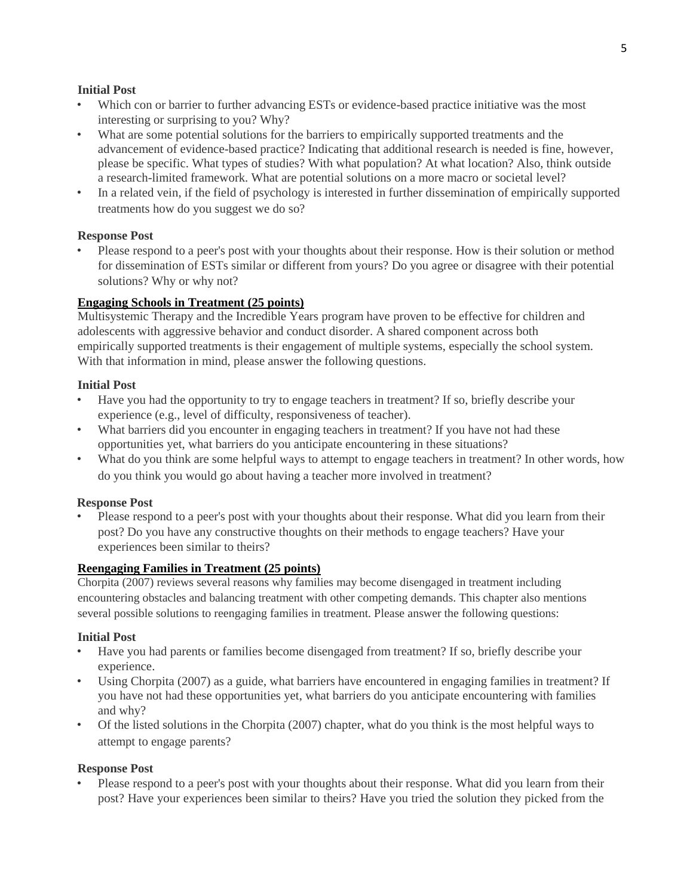## **Initial Post**

- Which con or barrier to further advancing ESTs or evidence-based practice initiative was the most interesting or surprising to you? Why?
- What are some potential solutions for the barriers to empirically supported treatments and the advancement of evidence-based practice? Indicating that additional research is needed is fine, however, please be specific. What types of studies? With what population? At what location? Also, think outside a research-limited framework. What are potential solutions on a more macro or societal level?
- In a related vein, if the field of psychology is interested in further dissemination of empirically supported treatments how do you suggest we do so?

## **Response Post**

• Please respond to a peer's post with your thoughts about their response. How is their solution or method for dissemination of ESTs similar or different from yours? Do you agree or disagree with their potential solutions? Why or why not?

# **Engaging Schools in Treatment (25 points)**

Multisystemic Therapy and the Incredible Years program have proven to be effective for children and adolescents with aggressive behavior and conduct disorder. A shared component across both empirically supported treatments is their engagement of multiple systems, especially the school system. With that information in mind, please answer the following questions.

## **Initial Post**

- Have you had the opportunity to try to engage teachers in treatment? If so, briefly describe your experience (e.g., level of difficulty, responsiveness of teacher).
- What barriers did you encounter in engaging teachers in treatment? If you have not had these opportunities yet, what barriers do you anticipate encountering in these situations?
- What do you think are some helpful ways to attempt to engage teachers in treatment? In other words, how do you think you would go about having a teacher more involved in treatment?

## **Response Post**

• Please respond to a peer's post with your thoughts about their response. What did you learn from their post? Do you have any constructive thoughts on their methods to engage teachers? Have your experiences been similar to theirs?

# **Reengaging Families in Treatment (25 points)**

Chorpita (2007) reviews several reasons why families may become disengaged in treatment including encountering obstacles and balancing treatment with other competing demands. This chapter also mentions several possible solutions to reengaging families in treatment. Please answer the following questions:

## **Initial Post**

- Have you had parents or families become disengaged from treatment? If so, briefly describe your experience.
- Using Chorpita (2007) as a guide, what barriers have encountered in engaging families in treatment? If you have not had these opportunities yet, what barriers do you anticipate encountering with families and why?
- Of the listed solutions in the Chorpita (2007) chapter, what do you think is the most helpful ways to attempt to engage parents?

## **Response Post**

Please respond to a peer's post with your thoughts about their response. What did you learn from their post? Have your experiences been similar to theirs? Have you tried the solution they picked from the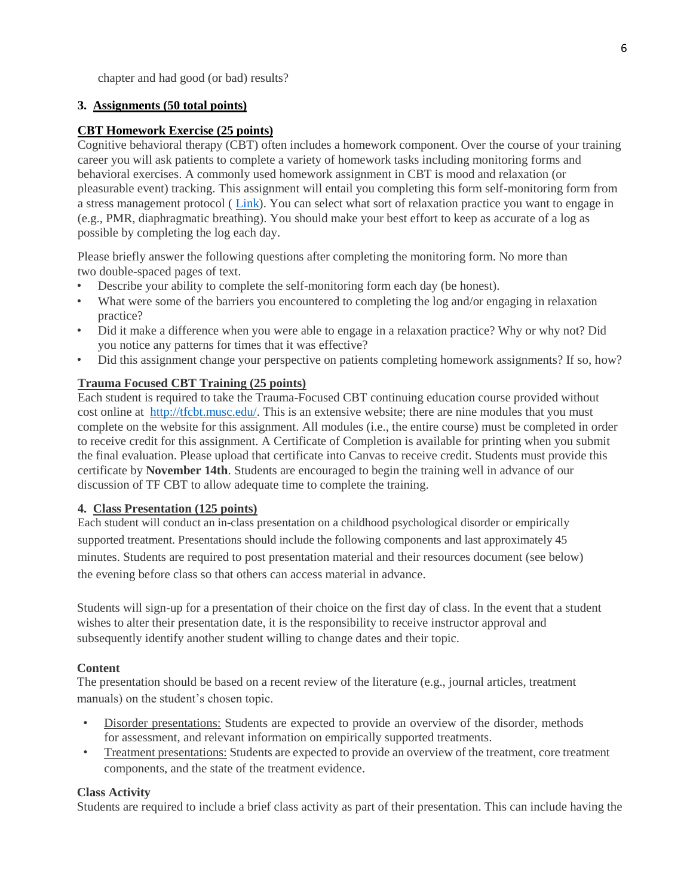chapter and had good (or bad) results?

## **3. Assignments (50 total points)**

## **CBT Homework Exercise (25 points)**

Cognitive behavioral therapy (CBT) often includes a homework component. Over the course of your training career you will ask patients to complete a variety of homework tasks including monitoring forms and behavioral exercises. A commonly used homework assignment in CBT is mood and relaxation (or pleasurable event) tracking. This assignment will entail you completing this form self-monitoring form from a stress management protocol ( [Link](http://global.oup.com/us/companion.websites/fdscontent/uscompanion/us/pdf/treatments/Daily_Self_Monitoring_Sheet.pdf)). You can select what sort of relaxation practice you want to engage in (e.g., PMR, diaphragmatic breathing). You should make your best effort to keep as accurate of a log as possible by completing the log each day.

Please briefly answer the following questions after completing the monitoring form. No more than two double-spaced pages of text.

- Describe your ability to complete the self-monitoring form each day (be honest).
- What were some of the barriers you encountered to completing the log and/or engaging in relaxation practice?
- Did it make a difference when you were able to engage in a relaxation practice? Why or why not? Did you notice any patterns for times that it was effective?
- Did this assignment change your perspective on patients completing homework assignments? If so, how?

## **Trauma Focused CBT Training (25 points)**

Each student is required to take the Trauma-Focused CBT continuing education course provided without cost online at<http://tfcbt.musc.edu/>. This is an extensive website; there are nine modules that you must complete on the website for this assignment. All modules (i.e., the entire course) must be completed in order to receive credit for this assignment. A Certificate of Completion is available for printing when you submit the final evaluation. Please upload that certificate into Canvas to receive credit. Students must provide this certificate by **November 14th**. Students are encouraged to begin the training well in advance of our discussion of TF CBT to allow adequate time to complete the training.

## **4. Class Presentation (125 points)**

Each student will conduct an in-class presentation on a childhood psychological disorder or empirically supported treatment. Presentations should include the following components and last approximately 45 minutes. Students are required to post presentation material and their resources document (see below) the evening before class so that others can access material in advance.

Students will sign-up for a presentation of their choice on the first day of class. In the event that a student wishes to alter their presentation date, it is the responsibility to receive instructor approval and subsequently identify another student willing to change dates and their topic.

## **Content**

The presentation should be based on a recent review of the literature (e.g., journal articles, treatment manuals) on the student's chosen topic.

- Disorder presentations: Students are expected to provide an overview of the disorder, methods for assessment, and relevant information on empirically supported treatments.
- Treatment presentations: Students are expected to provide an overview of the treatment, core treatment components, and the state of the treatment evidence.

# **Class Activity**

Students are required to include a brief class activity as part of their presentation. This can include having the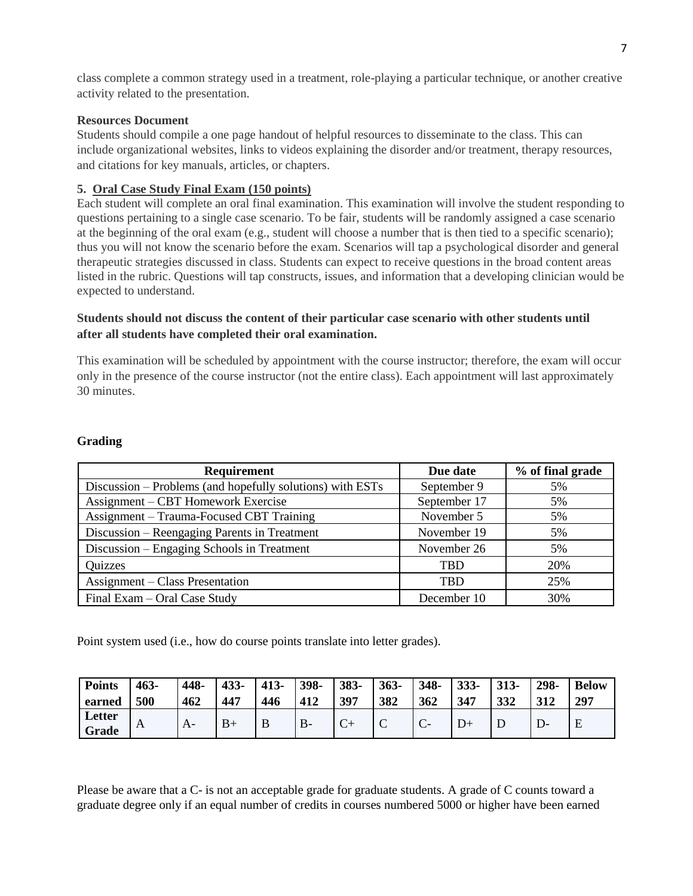class complete a common strategy used in a treatment, role-playing a particular technique, or another creative activity related to the presentation.

### **Resources Document**

Students should compile a one page handout of helpful resources to disseminate to the class. This can include organizational websites, links to videos explaining the disorder and/or treatment, therapy resources, and citations for key manuals, articles, or chapters.

## **5. Oral Case Study Final Exam (150 points)**

Each student will complete an oral final examination. This examination will involve the student responding to questions pertaining to a single case scenario. To be fair, students will be randomly assigned a case scenario at the beginning of the oral exam (e.g., student will choose a number that is then tied to a specific scenario); thus you will not know the scenario before the exam. Scenarios will tap a psychological disorder and general therapeutic strategies discussed in class. Students can expect to receive questions in the broad content areas listed in the rubric. Questions will tap constructs, issues, and information that a developing clinician would be expected to understand.

## **Students should not discuss the content of their particular case scenario with other students until after all students have completed their oral examination.**

This examination will be scheduled by appointment with the course instructor; therefore, the exam will occur only in the presence of the course instructor (not the entire class). Each appointment will last approximately 30 minutes.

### **Grading**

| <b>Requirement</b>                                        | Due date     | % of final grade |  |  |  |
|-----------------------------------------------------------|--------------|------------------|--|--|--|
| Discussion – Problems (and hopefully solutions) with ESTs | September 9  | 5%               |  |  |  |
| Assignment – CBT Homework Exercise                        | September 17 | 5%               |  |  |  |
| Assignment - Trauma-Focused CBT Training                  | November 5   | 5%               |  |  |  |
| Discussion – Reengaging Parents in Treatment              | November 19  | 5%               |  |  |  |
| Discussion – Engaging Schools in Treatment                | November 26  | 5%               |  |  |  |
| Quizzes                                                   | <b>TBD</b>   | 20%              |  |  |  |
| Assignment – Class Presentation                           | TBD          | 25%              |  |  |  |
| Final Exam - Oral Case Study                              | December 10  | 30%              |  |  |  |

Point system used (i.e., how do course points translate into letter grades).

| <b>Points</b>   | $463-$ | 448- | $433 -$ | $413-$ | 398-  | 383- | $363 -$ | 348- | $333 -$ | $313 -$ | 298- | <b>Below</b> |
|-----------------|--------|------|---------|--------|-------|------|---------|------|---------|---------|------|--------------|
| earned          | 500    | 462  | 447     | 446    | 412   | 397  | 382     | 362  | 347     | 332     | 312  | 297          |
| Letter<br>Grade | A      | $A-$ | $B+$    | B      | $B -$ | ◡    | ◡       |      |         |         |      | E            |

Please be aware that a C- is not an acceptable grade for graduate students. A grade of C counts toward a graduate degree only if an equal number of credits in courses numbered 5000 or higher have been earned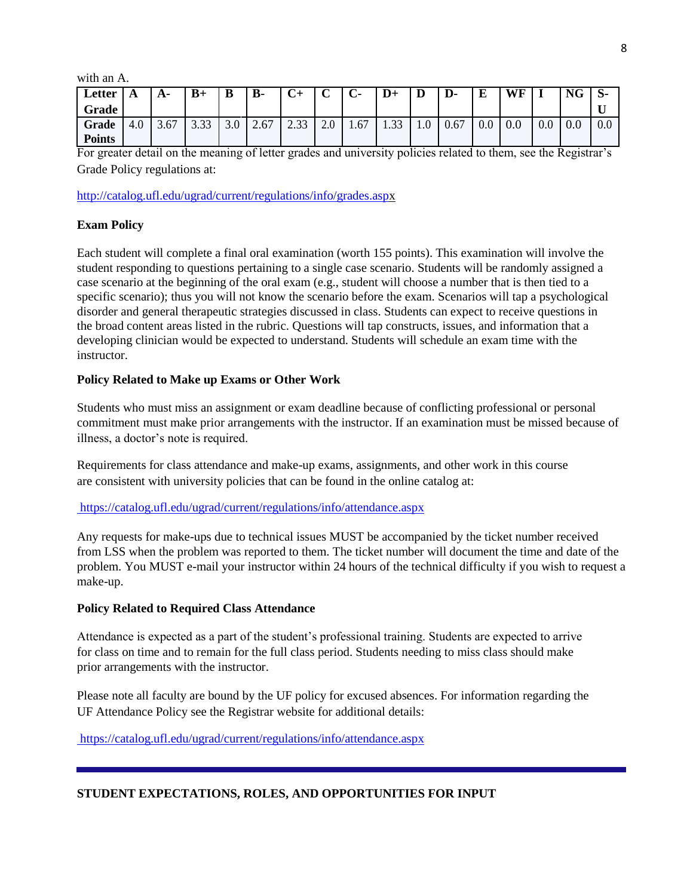with an A.

| Letter        | A   | <b>A</b> - | $B+$             | B               | <b>B-</b> | ◡+   |     | U-   | $D+$ | ┻   | D-   | E   | WF      |     | <b>NG</b> | $\mathbf{C}$<br><u>.э</u> |
|---------------|-----|------------|------------------|-----------------|-----------|------|-----|------|------|-----|------|-----|---------|-----|-----------|---------------------------|
| Grade         |     |            |                  |                 |           |      |     |      |      |     |      |     |         |     |           | <b>TT</b><br>◟            |
| Grade         | 4.0 | 3.67       | $\Omega$<br>3.33 | $\Omega$<br>J.U | 2.67      | 2.33 | 2.0 | 1.67 | 1.33 | 1.0 | 0.67 | 0.0 | $0.0\,$ | 0.0 | 0.0       | 0.0                       |
| <b>Points</b> |     |            |                  |                 |           |      |     |      |      |     |      |     |         |     |           |                           |

For greater detail on the meaning of letter grades and university policies related to them, see the Registrar's Grade Policy regulations at:

[http://catalog.ufl.edu/ugrad/current/regulations/info/grades.aspx](http://catalog.ufl.edu/ugrad/current/regulations/info/grades.asp)

## **Exam Policy**

Each student will complete a final oral examination (worth 155 points). This examination will involve the student responding to questions pertaining to a single case scenario. Students will be randomly assigned a case scenario at the beginning of the oral exam (e.g., student will choose a number that is then tied to a specific scenario); thus you will not know the scenario before the exam. Scenarios will tap a psychological disorder and general therapeutic strategies discussed in class. Students can expect to receive questions in the broad content areas listed in the rubric. Questions will tap constructs, issues, and information that a developing clinician would be expected to understand. Students will schedule an exam time with the instructor.

## **Policy Related to Make up Exams or Other Work**

Students who must miss an assignment or exam deadline because of conflicting professional or personal commitment must make prior arrangements with the instructor. If an examination must be missed because of illness, a doctor's note is required.

Requirements for class attendance and make-up exams, assignments, and other work in this course are consistent with university policies that can be found in the online catalog at:

## <https://catalog.ufl.edu/ugrad/current/regulations/info/attendance.aspx>

Any requests for make-ups due to technical issues MUST be accompanied by the ticket number received from LSS when the problem was reported to them. The ticket number will document the time and date of the problem. You MUST e-mail your instructor within 24 hours of the technical difficulty if you wish to request a make-up.

## **Policy Related to Required Class Attendance**

Attendance is expected as a part of the student's professional training. Students are expected to arrive for class on time and to remain for the full class period. Students needing to miss class should make prior arrangements with the instructor.

Please note all faculty are bound by the UF policy for excused absences. For information regarding the UF Attendance Policy see the Registrar website for additional details:

<https://catalog.ufl.edu/ugrad/current/regulations/info/attendance.aspx>

# **STUDENT EXPECTATIONS, ROLES, AND OPPORTUNITIES FOR INPUT**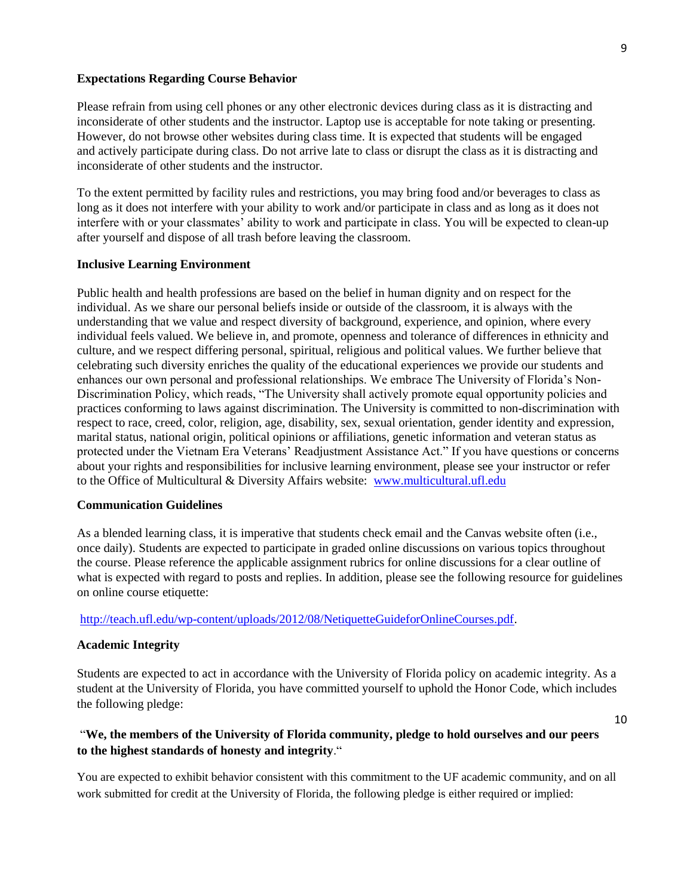#### **Expectations Regarding Course Behavior**

Please refrain from using cell phones or any other electronic devices during class as it is distracting and inconsiderate of other students and the instructor. Laptop use is acceptable for note taking or presenting. However, do not browse other websites during class time. It is expected that students will be engaged and actively participate during class. Do not arrive late to class or disrupt the class as it is distracting and inconsiderate of other students and the instructor.

To the extent permitted by facility rules and restrictions, you may bring food and/or beverages to class as long as it does not interfere with your ability to work and/or participate in class and as long as it does not interfere with or your classmates' ability to work and participate in class. You will be expected to clean-up after yourself and dispose of all trash before leaving the classroom.

#### **Inclusive Learning Environment**

Public health and health professions are based on the belief in human dignity and on respect for the individual. As we share our personal beliefs inside or outside of the classroom, it is always with the understanding that we value and respect diversity of background, experience, and opinion, where every individual feels valued. We believe in, and promote, openness and tolerance of differences in ethnicity and culture, and we respect differing personal, spiritual, religious and political values. We further believe that celebrating such diversity enriches the quality of the educational experiences we provide our students and enhances our own personal and professional relationships. We embrace The University of Florida's Non-Discrimination Policy, which reads, "The University shall actively promote equal opportunity policies and practices conforming to laws against discrimination. The University is committed to non-discrimination with respect to race, creed, color, religion, age, disability, sex, sexual orientation, gender identity and expression, marital status, national origin, political opinions or affiliations, genetic information and veteran status as protected under the Vietnam Era Veterans' Readjustment Assistance Act." If you have questions or concerns about your rights and responsibilities for inclusive learning environment, please see your instructor or refer to the Office of Multicultural & Diversity Affairs website: [www.multicultural.ufl.edu](http://www.multicultural.ufl.edu/)

#### **Communication Guidelines**

As a blended learning class, it is imperative that students check email and the Canvas website often (i.e., once daily). Students are expected to participate in graded online discussions on various topics throughout the course. Please reference the applicable assignment rubrics for online discussions for a clear outline of what is expected with regard to posts and replies. In addition, please see the following resource for guidelines on online course etiquette:

[http://teach.ufl.edu/wp-content/uploads/2012/08/NetiquetteGuideforOnlineCourses.pdf.](http://teach.ufl.edu/wp-content/uploads/2012/08/NetiquetteGuideforOnlineCourses.pdf)

#### **Academic Integrity**

Students are expected to act in accordance with the University of Florida policy on academic integrity. As a student at the University of Florida, you have committed yourself to uphold the Honor Code, which includes the following pledge:

# "**We, the members of the University of Florida community, pledge to hold ourselves and our peers to the highest standards of honesty and integrity**."

You are expected to exhibit behavior consistent with this commitment to the UF academic community, and on all work submitted for credit at the University of Florida, the following pledge is either required or implied:

10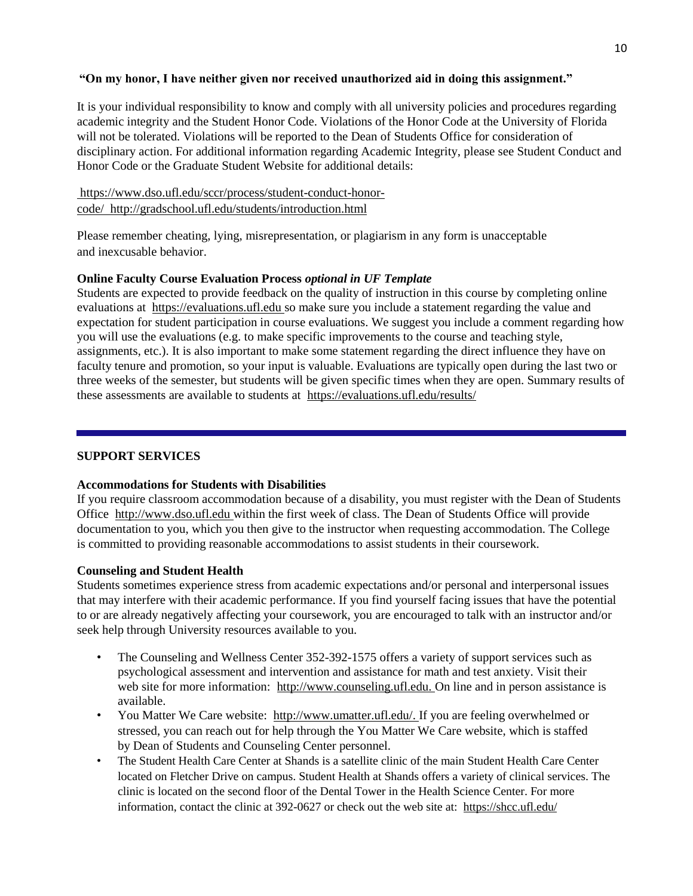## **"On my honor, I have neither given nor received unauthorized aid in doing this assignment."**

It is your individual responsibility to know and comply with all university policies and procedures regarding academic integrity and the Student Honor Code. Violations of the Honor Code at the University of Florida will not be tolerated. Violations will be reported to the Dean of Students Office for consideration of disciplinary action. For additional information regarding Academic Integrity, please see Student Conduct and Honor Code or the Graduate Student Website for additional details:

[https://www.dso.ufl.edu/sccr/process/student-conduct-honor](https://www.dso.ufl.edu/sccr/process/student-conduct-honor-code/)[code/](https://www.dso.ufl.edu/sccr/process/student-conduct-honor-code/)<http://gradschool.ufl.edu/students/introduction.html>

Please remember cheating, lying, misrepresentation, or plagiarism in any form is unacceptable and inexcusable behavior.

### **Online Faculty Course Evaluation Process** *optional in UF Template*

Students are expected to provide feedback on the quality of instruction in this course by completing online evaluations at [https://evaluations.ufl.edu](https://evaluations.ufl.edu/) so make sure you include a statement regarding the value and expectation for student participation in course evaluations. We suggest you include a comment regarding how you will use the evaluations (e.g. to make specific improvements to the course and teaching style, assignments, etc.). It is also important to make some statement regarding the direct influence they have on faculty tenure and promotion, so your input is valuable. Evaluations are typically open during the last two or three weeks of the semester, but students will be given specific times when they are open. Summary results of these assessments are available to students at [https://evaluations.ufl.edu/results/](https://evaluations.ufl.edu/results/Â )

# **SUPPORT SERVICES**

#### **Accommodations for Students with Disabilities**

If you require classroom accommodation because of a disability, you must register with the Dean of Students Office [http://www.dso.ufl.edu](http://www.dso.ufl.edu/) within the first week of class. The Dean of Students Office will provide documentation to you, which you then give to the instructor when requesting accommodation. The College is committed to providing reasonable accommodations to assist students in their coursework.

#### **Counseling and Student Health**

Students sometimes experience stress from academic expectations and/or personal and interpersonal issues that may interfere with their academic performance. If you find yourself facing issues that have the potential to or are already negatively affecting your coursework, you are encouraged to talk with an instructor and/or seek help through University resources available to you.

- The Counseling and Wellness Center 352-392-1575 offers a variety of support services such as psychological assessment and intervention and assistance for math and test anxiety. Visit their web site for more information: [http://www.counseling.ufl.edu.](http://www.counseling.ufl.edu/) On line and in person assistance is available.
- You Matter We Care website[: http://www.umatter.ufl.edu/.](http://www.umatter.ufl.edu/) If you are feeling overwhelmed or stressed, you can reach out for help through the You Matter We Care website, which is staffed by Dean of Students and Counseling Center personnel.
- The Student Health Care Center at Shands is a satellite clinic of the main Student Health Care Center located on Fletcher Drive on campus. Student Health at Shands offers a variety of clinical services. The clinic is located on the second floor of the Dental Tower in the Health Science Center. For more information, contact the clinic at 392-0627 or check out the web site at[: https://shcc.ufl.edu/](https://shcc.ufl.edu/)